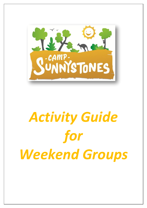

# *Activity Guide for Weekend Groups*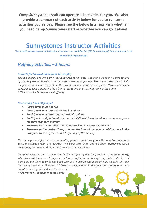**Camp Sunnystones staff can operate all activities for you. We also provide a summary of each activity below for you to run some activities yourselves. Please see the below lists regarding whether you need Camp Sunnystones staff or whether you can go it alone!**

# **Sunnystones Instructor Activities**

*The activities below require an instructor. Instructors are available for \$150 for a half-day (3 hours) and need to be booked before your arrival.*

### *Half-day activities – 3 hours:*

#### *Instincts for Survival Game (max 60 people)*

*This is a hugely popular game that is suitable for all ages. The game is set in a 5 acre square of privately owned bushland on the edge of the campgrounds. The game is designed to help the participants understand life in the bush from an animal's point of view. Participants work together to chase, hunt and hide from other teams in an attempt to win the game. \*\*Operated by Sunnystones staff only*

#### *Geocaching (max 60 people)*

- *Participants must not run*
- *Participants must stay within the boundaries*
- *Participants must stay together – don't split up*
- *Participants will find a whistle on their GPS which can be blown as an emergency measure (e.g. lost, injured)*
- *There are instruction sheets in the Geocaching backpack the GPS unit*
- *There are further instructions / rules on the back of the 'point cards' that are in the box given to each group at the beginning of the activity*

*Geocaching is a high-tech treasure hunting game played throughout the world by adventure seekers equipped with GPS devices. The basic idea is to locate hidden containers, called geocaches, outdoors and then share your experiences online.*

*Camp Sunnystones has its own specifically designed geocaching course within its property, whereby participants work together in teams to find a number of waypoints in the fastest time possible. Each team is equipped with a GPS device and a set of clues to assist in their journey of discovery! There are 20 boxes (caches) hidden in the geocaching area, and these are already programmed into the GPS unit.* 

*\*\*Operated by Sunnystones staff only*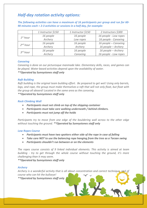## *Half-day rotation activity options:*

*The following activities can have a maximum of 16 participants per group and run for 60- 90 minutes each = 2-3 activities or sessions in a half day, for example:*

|                      | 1 Instructor \$150 | 1 Instructor \$150 | 2 Instructors \$300   |
|----------------------|--------------------|--------------------|-----------------------|
| 1 <sup>st</sup> hour | 16 people          | 16 people          | 16 people - Low ropes |
|                      | Archery            | Low ropes          | 16 people - Canoeing  |
| $2^{nd}$ hour        | 16 people          | 16 people          | 16 people – Canoeing  |
|                      | Archery            | Archery            | 16 people - Archery   |
| $3^{rd}$ hour        | 16 people          | 16 people          | 16 people - Archery   |
|                      | Archery            | Canoeing           | 16 people - Low ropes |

#### *Canoeing*

*Canoeing is done on our picturesque manmade lake. Elementary skills, races, and games can be played. Water based activities depend upon the availability of water. \*\*Operated by Sunnystones staff only*

#### *Raft Building*

*Raft building is the original team building effort. Be prepared to get wet! Using only barrels, logs, and rope, the group must make themselves a raft that will not only float, but float with the group all aboard! Located in the same area as the canoeing. \*\*Operated by Sunnystones staff only*

#### *Rock Climbing Wall*

- *Participants must not climb on top of the shipping container*
- *Participants must take care walking underneath / behind climbers.*
- *Participants must not jump off the holds*

*Participants try to move from one edge of the bouldering wall across to the other edge without touching the ground. \*\*Operated by Sunnystones staff only*

#### *Low Ropes Course*

- *Participants must have two spotters either side of the rope in case of falling*
- *Take care NOT to use the balancing rope hanging from the tree as a Tarzan swing*
- *Participants shouldn't run between or on the elements*

*The ropes course consists of 9 linked individual elements. This activity is aimed at team building - try to get through the whole course without touching the ground, it's more challenging than it may seem.* 

*\*\*Operated by Sunnystones staff only*

#### *Archery*

*Archery is a wonderful activity that is all about concentration and correct technique, and of course who can hit the bullseye! \*\*Operated by Sunnystones staff only*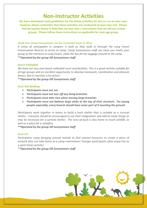## **Non-Instructor Activities**

**We have developed some guidelines for the below activities for you to run on your own, however please remember that these activities are conducted at your own risk. Please find dot points below in bold that are key rules / instructions that we tell our school groups. Please follow these instructions as applicable for your age group.**

#### *Walk into Camp Sunnystones via the Coimadai track (1-3hrs)*

*A sense of anticipation in campers is built as they walk in through the Long Forest Conservation Reserve to arrive at camp. Camp Sunnystones staff can meet you meets your group at the entrance to Long Forest, while the bus ferries luggage around to the camp. \*\*Operated by the group OR Sunnystones staff*

#### *Beach Volleyball*

*We have our very own beach volleyball court and facilities. This is a great activity suitable for all age groups and an excellent opportunity to develop teamwork, coordination and physical fitness. Not to mention a lot of fun!*

*\*\*Operated by the group OR Sunnystones staff*

#### *Bush Hut Building*

- *Participants must not run*
- *Participants must not tear off any living branches*
- *Participants must take care when moving large branches*
- *Participants must not balance large sticks at the top of their structure. For young people especially, every branch should have some part of it touching the ground*

*Participants work together in teams to build a bush shelter that is suitable as a survival shelter. Everyone should be encouraged to use their imagination and add as many things as may be necessary for a survival shelter. The area of bush is also home to much wildlife, as well as a place for a campfire.*

*\*\*Operated by the group OR Sunnystones staff*

#### *Bush Art*

*Participants enjoy foraging around outside to find natural resources to create a piece of artwork they can take home as a camp momentum! Younger participants often enjoy this as a quiet times activity!*

*\*\*Operated by the group OR Sunnystones staff*

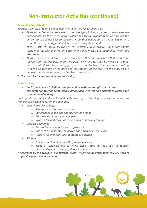# **Non-Instructor Activities (continued)**

#### *Team Building Activities*

*There is a variety of team building activities near the rock climbing wall.* 

- *There is the Dreamweaver – which uses colourful climbing ropes as a maze where the participants clip themselves onto a colour and try to navigate their way around the entire course and get back to the start. Around 15 people can do this activity at once – and there are four different colour ropes to navigate around.*
- *There is also the group ski walk at the volleyball court, where 5 or 6 participants stand in a row with one foot on each ski and they must work together to "walk" the skis around.*
- *Thirdly, there is the 4 tyre – 3 post challenge. There are four tyres that need to be moved from the first pole to be third pole. Only one tyre can be moved at a time. You are not allowed to put a bigger tyre on a smaller tyre. The tyres must start off with the biggest one at the base and the smallest at the top with the other two in between. It is a timed event, and makes a great race.*

*\*\*Operated by the group OR Sunnystones staff*

#### *Bush Cooking*

- *Participants need to light a campfire and be with the campfire at all times*
- *The campfire must be completely extinguished with multiple buckets of water upon completion of activity.*

*Participants can enjoy making chocolate cake in oranges, choc chip bananas, s'mores or any number of delicious foods on the open fire.*

- *Chocolate cake Oranges*
	- o *Mix up some chocolate cake mix.*
	- o *Cut oranges in half and eat most of the orange*
	- o *Add cake mix into the orange peel*
	- o *Wrap in foil and cook until cake mixture is cooked through*
- *Choc chip bananas*
	- o *Cut the banana length way to open a slit*
	- o *Add in choc chips, marshmallows and anything else you like*
	- o *Wrap in foil and cook until contents are melted*
- *S'Mores*
	- o *Toast a marshmallow over the fire using a stick*
	- o *Make a 'sandwich' out of wheat biscuits (the outside), add the toasted marshmallow and a piece of dark chocolate*
- *\*\*Operated by the group OR Sunnystones staff – if self-run by group then you will need to provide your own ingredients*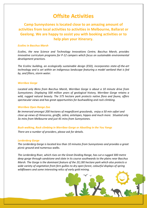## **Offsite Activities**

## **Camp Sunnystones is located close to an amazing amount of activities from local activities to activities in Melbourne, Ballarat or Geelong. We are happy to assist you with booking activities or to help plan your itinerary.**

#### *Ecolinc in Bacchus Marsh*

*Ecolinc, the new Science and Technology Innovations Centre, Bacchus Marsh, provides innovative curriculum programs for P-12 campers which focus on sustainable environmental development practices.*

*The Ecolinc building, an ecologically sustainable design (ESD), incorporates state-of-the-art technology and is set within an indigenous landscape featuring a model wetland that is fed by, and filters, storm water.*

#### *Werribee Gorge*

*Located only 8kms from Bacchus Marsh, Werribee Gorge is about a 10 minute drive from Sunnystones. Displaying 500 million years of geological history, Werribee Gorge retains a wild, rugged natural beauty. The 575 hectare park protects native flora and fauna, offers spectacular views and has great opportunities for bushwalking and rock climbing.*

#### *Werribee Open Range Zoo*

*Be immersed amongst 200 hectares of magnificent grasslands, enjoy a 50 min safari and close up views of rhinoceros, giraffe, zebra, antelopes, hippos and much more. Situated only 3o mins from Melbourne and just 45 mins from Sunnystones.*

#### *Bush walking, Rock climbing in Werribee Gorge or Abseiling in the You Yangs*

*There are a number of providers, please ask for details.*

#### *Lerderderg Gorge*

*The Lerderderg Gorge is located less than 10 minutes from Sunnystones and provides a great picnic ground and numerous walks.*

*The Lerderderg River, which rises on the Great Dividing Range, has cut a rugged 300 metre deep gorge through sandstone and slate in its course southwards to the plains near Bacchus Marsh. The Gorge is the dominant feature of the 20,180 hectare park which also protects a wide variety of vegetation from fern gullies to dry open forest, colourful displays of spring wildflowers and some interesting relics of early gold mining.*